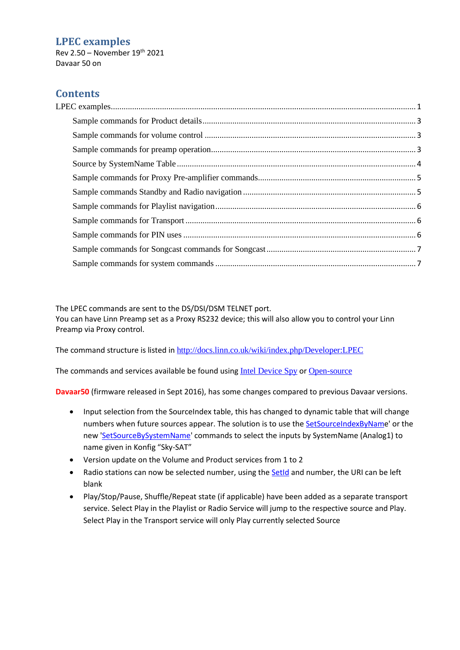### <span id="page-0-0"></span>**LPEC examples**

Rev 2.50 – November 19 th 2021 Davaar 50 on

## **Contents**

The LPEC commands are sent to the DS/DSI/DSM TELNET port.

You can have Linn Preamp set as a Proxy RS232 device; this will also allow you to control your Linn Preamp via Proxy control.

The command structure is listed in <http://docs.linn.co.uk/wiki/index.php/Developer:LPEC>

The commands and services available be found using [Intel Device Spy](http://www.intel.com/cd/ids/developer/asmo-na/eng/downloads/upnp/tools/index.htm) or [Open-source](http://opentools.homeip.net/dev-tools-for-upnp)

**Davaar50** (firmware released in Sept 2016), has some changes compared to previous Davaar versions.

- Input selection from the SourceIndex table, this has changed to dynamic table that will change numbers when future sources appear. The solution is to use the [SetSourceIndexByName](#page-2-3)' or the new ['SetSourceBySystemName'](#page-2-3) commands to select the inputs by SystemName (Analog1) to name given in Konfig "Sky-SAT"
- Version update on the Volume and Product services from 1 to 2
- Radio stations can now be selected number, using th[e SetId](#page-4-2) and number, the URI can be left blank
- Play/Stop/Pause, Shuffle/Repeat state (if applicable) have been added as a separate transport service. Select Play in the Playlist or Radio Service will jump to the respective source and Play. Select Play in the Transport service will only Play currently selected Source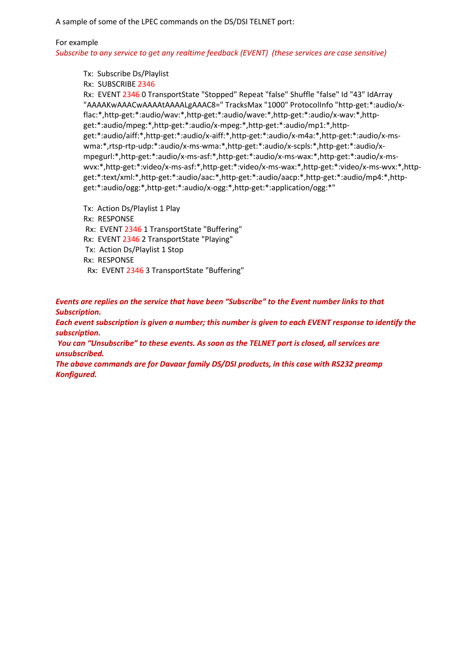A sample of some of the LPEC commands on the DS/DSI TELNET port:

#### For example

*Subscribe to any service to get any realtime feedback (EVENT) (these services are case sensitive)*

Tx: Subscribe Ds/Playlist

Rx: SUBSCRIBE 2346

Rx: EVENT 2346 0 TransportState "Stopped" Repeat "false" Shuffle "false" Id "43" IdArray "AAAAKwAAACwAAAAtAAAALgAAAC8=" TracksMax "1000" ProtocolInfo "http-get:\*:audio/xflac:\*,http-get:\*:audio/wav:\*,http-get:\*:audio/wave:\*,http-get:\*:audio/x-wav:\*,httpget:\*:audio/mpeg:\*,http-get:\*:audio/x-mpeg:\*,http-get:\*:audio/mp1:\*,httpget:\*:audio/aiff:\*,http-get:\*:audio/x-aiff:\*,http-get:\*:audio/x-m4a:\*,http-get:\*:audio/x-mswma:\*,rtsp-rtp-udp:\*:audio/x-ms-wma:\*,http-get:\*:audio/x-scpls:\*,http-get:\*:audio/xmpegurl:\*,http-get:\*:audio/x-ms-asf:\*,http-get:\*:audio/x-ms-wax:\*,http-get:\*:audio/x-mswvx:\*,http-get:\*:video/x-ms-asf:\*,http-get:\*:video/x-ms-wax:\*,http-get:\*:video/x-ms-wvx:\*,httpget:\*:text/xml:\*,http-get:\*:audio/aac:\*,http-get:\*:audio/aacp:\*,http-get:\*:audio/mp4:\*,httpget:\*:audio/ogg:\*,http-get:\*:audio/x-ogg:\*,http-get:\*:application/ogg:\*"

Tx: Action Ds/Playlist 1 Play Rx: RESPONSE Rx: EVENT 2346 1 TransportState "Buffering" Rx: EVENT 2346 2 TransportState "Playing" Tx: Action Ds/Playlist 1 Stop Rx: RESPONSE Rx: EVENT 2346 3 TransportState "Buffering"

*Events are replies on the service that have been "Subscribe" to the Event number links to that Subscription.*

*Each event subscription is given a number; this number is given to each EVENT response to identify the subscription.*

*You can "Unsubscribe" to these events. As soon as the TELNET port is closed, all services are unsubscribed.*

*The above commands are for Davaar family DS/DSI products, in this case with RS232 preamp Konfigured.*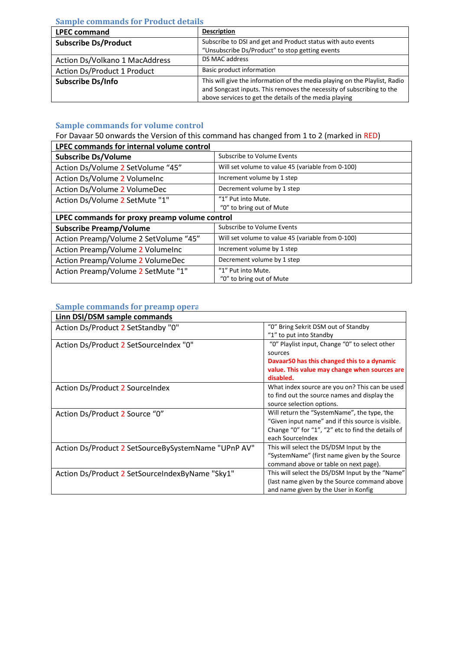### <span id="page-2-0"></span>**Sample commands for Product details**

| <b>LPEC command</b>            | <b>Description</b>                                                                                                                                                                                            |
|--------------------------------|---------------------------------------------------------------------------------------------------------------------------------------------------------------------------------------------------------------|
| <b>Subscribe Ds/Product</b>    | Subscribe to DSI and get and Product status with auto events<br>"Unsubscribe Ds/Product" to stop getting events                                                                                               |
| Action Ds/Volkano 1 MacAddress | DS MAC address                                                                                                                                                                                                |
| Action Ds/Product 1 Product    | Basic product information                                                                                                                                                                                     |
| <b>Subscribe Ds/Info</b>       | This will give the information of the media playing on the Playlist, Radio<br>and Songcast inputs. This removes the necessity of subscribing to the<br>above services to get the details of the media playing |

## <span id="page-2-1"></span>**Sample commands for volume control**

For Davaar 50 onwards the Version of this command has changed from 1 to 2 (marked in RED)

| <b>LPEC commands for internal volume control</b> |                                                   |  |  |  |  |
|--------------------------------------------------|---------------------------------------------------|--|--|--|--|
| <b>Subscribe Ds/Volume</b>                       | Subscribe to Volume Events                        |  |  |  |  |
| Action Ds/Volume 2 SetVolume "45"                | Will set volume to value 45 (variable from 0-100) |  |  |  |  |
| Action Ds/Volume 2 VolumeInc                     | Increment volume by 1 step                        |  |  |  |  |
| Action Ds/Volume 2 VolumeDec                     | Decrement volume by 1 step                        |  |  |  |  |
| Action Ds/Volume 2 SetMute "1"                   | "1" Put into Mute.                                |  |  |  |  |
|                                                  | "0" to bring out of Mute                          |  |  |  |  |
| LPEC commands for proxy preamp volume control    |                                                   |  |  |  |  |
| <b>Subscribe Preamp/Volume</b>                   | Subscribe to Volume Events                        |  |  |  |  |
| Action Preamp/Volume 2 SetVolume "45"            | Will set volume to value 45 (variable from 0-100) |  |  |  |  |
| Action Preamp/Volume 2 VolumeInc                 | Increment volume by 1 step                        |  |  |  |  |
| Action Preamp/Volume 2 VolumeDec                 | Decrement volume by 1 step                        |  |  |  |  |
| Action Preamp/Volume 2 SetMute "1"               | "1" Put into Mute.                                |  |  |  |  |
|                                                  | "0" to bring out of Mute                          |  |  |  |  |

### <span id="page-2-2"></span>**Sample commands for preamp operation**

<span id="page-2-3"></span>

| Linn DSI/DSM sample commands                        |                                                    |
|-----------------------------------------------------|----------------------------------------------------|
| Action Ds/Product 2 SetStandby "0"                  | "0" Bring Sekrit DSM out of Standby                |
|                                                     | "1" to put into Standby                            |
| Action Ds/Product 2 SetSourceIndex "0"              | "0" Playlist input, Change "0" to select other     |
|                                                     | sources                                            |
|                                                     | Davaar50 has this changed this to a dynamic        |
|                                                     | value. This value may change when sources are      |
|                                                     | disabled.                                          |
| <b>Action Ds/Product 2 SourceIndex</b>              | What index source are you on? This can be used     |
|                                                     | to find out the source names and display the       |
|                                                     | source selection options.                          |
| Action Ds/Product 2 Source "0"                      | Will return the "SystemName", the type, the        |
|                                                     | "Given input name" and if this source is visible.  |
|                                                     | Change "0" for "1", "2" etc to find the details of |
|                                                     | each SourceIndex                                   |
| Action Ds/Product 2 SetSourceBySystemName "UPnP AV" | This will select the DS/DSM Input by the           |
|                                                     | "SystemName" (first name given by the Source       |
|                                                     | command above or table on next page).              |
| Action Ds/Product 2 SetSourceIndexByName "Sky1"     | This will select the DS/DSM Input by the "Name"    |
|                                                     | (last name given by the Source command above       |
|                                                     | and name given by the User in Konfig               |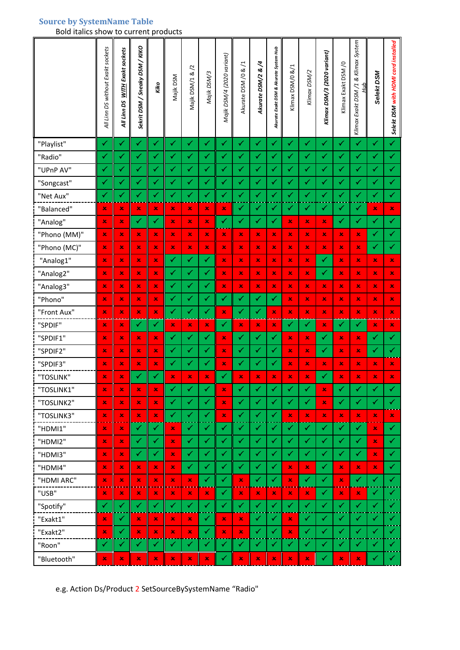## <span id="page-3-0"></span>**Source by SystemName Table**

Bold italics show to current products

|              | All Linn DS without Exakt sockets | <b>WITH Exakt sockets</b><br>All Linn DS | Sekrit DSM / Sneaky DSM / KIKO | Kiko | Majik DSM                 | Majik DSM/1 & /2 | Majik DSM/3  | Majik DSM/4 (2020 variant) | Ξ.<br>Akurate DSM/0 & | Akurate DSM/2 &/4 | Akurate Exakt DSM & Akurate System Hub | Klimax DSM/0 &/1 | Klimax DSM/2         | Klimax DSM/3 (2020 variant) | Klimax Exakt DSM /0 | Klimax Exakt DSM /1 & Klimax System<br>Нир | Selekt DSM  | Selekt DSM with HDMI card installed |
|--------------|-----------------------------------|------------------------------------------|--------------------------------|------|---------------------------|------------------|--------------|----------------------------|-----------------------|-------------------|----------------------------------------|------------------|----------------------|-----------------------------|---------------------|--------------------------------------------|-------------|-------------------------------------|
| "Playlist"   | ✓                                 | $\checkmark$                             | ✓                              | ✓    | ✓                         | $\checkmark$     | $\checkmark$ | $\checkmark$               | ✓                     | $\checkmark$      | $\checkmark$                           | ✓                | ✓                    | $\checkmark$                | ✓                   | $\checkmark$                               | ✓           | ✓                                   |
| "Radio"      | ✓                                 | $\checkmark$                             | ✓                              | ✓    | ✓                         | ✓                | ✓            | ✓                          | ✓                     | ✓                 | ✓                                      | ✓                | ✓                    | ✓                           | ✓                   | $\checkmark$                               | ✓           | $\checkmark$                        |
| "UPnP AV"    | $\checkmark$                      | $\checkmark$                             | ✓                              | ✓    | ✓                         | ✓                | ✓            | ✓                          | $\checkmark$          | ✓                 | ✓                                      | ✓                | ✓                    | ✓                           | ✓                   | ✓                                          | ✓           | $\checkmark$                        |
| "Songcast"   | $\checkmark$                      | ✓                                        | ✓                              | ✓    | ✓                         | $\checkmark$     | ✓            | ✓                          | $\checkmark$          | ✓                 | ✓                                      | ✓                | ✓                    | ✓                           | ✓                   | $\checkmark$                               | ✓           | $\checkmark$                        |
| "Net Aux"    | ✓                                 | ✓                                        | $\blacktriangledown$           | ✓    | ✓                         | $\checkmark$     | ✓            | $\checkmark$               | $\checkmark$          | ✓                 | ✓                                      | ✓                | ✓                    | ✓                           | ✓                   | $\checkmark$                               | ✓           | $\checkmark$                        |
| "Balanced"   | $\pmb{\times}$                    | ×                                        | ×                              | ×    | $\mathbf x$               | ×                | ×            | ×                          | ✓                     | ✓                 | ✓                                      | ✓                | ✓                    | ✓                           | ✓                   | ✓                                          | ×           | $\mathbf x$                         |
| "Analog"     | ×                                 | ×                                        | ✓                              | ✓    | $\mathbf x$               | ×                | ×            | ✓                          | ✓                     | ✓                 | ✓                                      | ×                | ×                    | ×                           | ✓                   | ✓                                          | ✓           | $\checkmark$                        |
| "Phono (MM)" | ×                                 | ×                                        | ×                              | ×    | ×                         | ×                | ×            | $\pmb{\times}$             | $\mathbf x$           | ×                 | ×                                      | $\mathbf x$      | ×                    | ×                           | ×                   | ×                                          | ✓           | $\checkmark$                        |
| "Phono (MC)" | ×                                 | ×                                        | ×                              | ×    | $\mathbf x$               | ×                | $\mathbf x$  | $\mathbf x$                | $\mathbf x$           | $\pmb{\times}$    | ×                                      | $\mathbf x$      | ×                    | ×                           | ×                   | $\mathbf{x}$                               | ✓           | $\checkmark$                        |
| "Analog1"    | ×                                 | ×                                        | ×                              | ×    | $\checkmark$              | $\checkmark$     | ✓            | ×                          | $\pmb{\times}$        | ×                 | ×                                      | ×                | ×                    | $\checkmark$                | ×                   | ×                                          | $\mathbf x$ | $\mathbf x$                         |
| "Analog2"    | ×                                 | ×                                        | ×                              | ×    | ✓                         | ✓                | ✓            | ×                          | ×                     | ×                 | ×                                      | ×                | ×                    | ✓                           | ×                   | ×                                          | ×           | ×                                   |
| "Analog3"    | ×                                 | ×                                        | ×                              | ×    | $\checkmark$              | ✓                | ✓            | $\pmb{\times}$             | $\pmb{\times}$        | ×                 | ×                                      | $\mathbf x$      | ×                    | ×                           | ×                   | ×                                          | ×           | ×                                   |
| "Phono"      | ×                                 | ×                                        | ×                              | ×    | ✓                         | ✓                | ✓            | ✓                          | $\checkmark$          | ✓                 | ✓                                      | ×                | ×                    | ×                           | ×                   | ×                                          | ×           | ×                                   |
| "Front Aux"  | ×                                 | ×                                        | ×                              | ×    | ✓                         | $\checkmark$     | ✓            | $\pmb{\times}$             | ✓                     | ✓                 | ×                                      | $\pmb{\times}$   | ×                    | $\mathbf x$                 | ×                   | $\pmb{\times}$                             | ×           | ×                                   |
| "SPDIF"      | ×                                 | ×                                        | ✓                              | ✓    | $\mathbf x$               | ×                | $\mathbf x$  | ✓                          | $\pmb{\times}$        | $\pmb{\times}$    | ×                                      | ✓                | ✓                    | ×                           | ✓                   | $\checkmark$                               | $\mathbf x$ | $\mathbf x$                         |
| "SPDIF1"     | ×                                 | ×                                        | ×                              | ×    | ✓                         | ✓                | ✓            | $\mathbf x$                | ✓                     | ✓                 | ✓                                      | ×                | ×                    | ✓                           | ×                   | ×                                          | ✓           | ✓                                   |
| "SPDIF2"     | ×                                 | ×                                        | ×                              | ×    | ✓                         | ✓                | ✓            | ×                          | $\checkmark$          | ✓                 | ✓                                      | $\mathbf x$      | ×                    | ✓                           | ×                   | ×                                          | ✓           | $\checkmark$                        |
| "SPDIF3"     | ×                                 | ×                                        | ×                              | ×    | $\checkmark$              | ✓                | ✓            | ×                          | $\checkmark$          | ✓                 | ✓                                      | $\mathbf x$      | ×                    | ×                           | ×                   | ×                                          | ×           | ×.                                  |
| "TOSLINK"    | ×                                 | ×                                        | ✓                              | ✓    | ×                         | ×                | ×            | ✓                          | ×                     | ×                 | ×                                      | ×                | ×                    | ✓                           | ×                   | ×                                          | ×           | $\mathbf x$                         |
| "TOSLINK1"   | ×                                 | ×                                        | ×                              | ×    | ✓                         | ✓                | ✓            | $\pmb{\times}$             | ✓                     | ✓                 | ✓                                      | ✓                | $\blacktriangledown$ | ×                           | ✓                   | ✓                                          | ✓           | ✓                                   |
| "TOSLINK2"   | ×                                 | ×                                        | ×                              | ×    | ✓                         | ✓                | $\checkmark$ | ×                          | $\checkmark$          | ✓                 | ✓                                      | ✓                | ✓                    | ×                           | ✓                   | ✓                                          | ✓           | ✓                                   |
| "TOSLINK3"   | ×                                 | ×                                        | ×                              | ×    | ✓                         | ✓                | ✓            | $\pmb{\times}$             | $\checkmark$          | ✓                 | ✓                                      | ×                | ×                    | $\mathbf x$                 | ×                   | $\mathbf x$                                | ×           | $\infty$                            |
| "HDMI1"      | ×                                 | ×                                        | ✓                              | ✓    | $\mathbf x$               | ✓                | ✓            | ✓                          | ✓                     | ✓                 | ✓                                      | ✓                | $\checkmark$         | ✓                           | ✓                   | $\checkmark$                               | ×           | $\checkmark$                        |
| "HDMI2"      | ×                                 | ×                                        | ✓                              | ✓    | ×                         | ✓                | ✓            | $\checkmark$               | $\checkmark$          | ✓                 | ✓                                      | ✓                | ✓                    | ✓                           | ✓                   | ✓                                          | ×           | $\checkmark$                        |
| "HDMI3"      | ×                                 | ×                                        | $\checkmark$                   | ✓    | ×                         | $\checkmark$     | ✓            | ✓                          | ✓                     | ✓                 | ✓                                      | ✓                | ✓                    | ✓                           | ✓                   | ✓                                          | ×           | ✓                                   |
| "HDMI4"      | ×                                 | ×                                        | ×                              | ×    | $\pmb{\times}$            | ✓                | ✓            | $\checkmark$               | ✓                     | ✓                 | ✓                                      | ×                | ×                    | ✓                           | ×                   | ×                                          | ×           | ✓                                   |
| "HDMI ARC"   | ×                                 | ×                                        | ×                              | ×    | $\pmb{\times}$            | ×                | ✓            | $\blacktriangledown$       | $\pmb{\times}$        | ✓                 | ✓                                      | ×                | $\checkmark$         | ✓                           | ×                   | $\checkmark$                               | ✓           | ✓                                   |
| "USB"        | ×                                 | ×                                        | ×                              | ×    | $\mathbf x$               | ×                | ×            | ✓                          | $\pmb{\times}$        | ×                 | ×                                      | $\mathbf x$      | ×                    | $\checkmark$                | ×                   | ×.                                         | ✓           | ✓                                   |
| "Spotify"    | ✓                                 | ✓                                        | ✓                              | ✓    | ✓                         | ✓                | ✓            | ✓                          | ✓                     | ✓                 | ✓                                      | ✓                | ✓                    | ✓                           | ✓                   | $\checkmark$                               | ✓           | ✓                                   |
| "Exakt1"     | ×                                 | ✓                                        | ×                              | ×    | $\boldsymbol{\mathsf{x}}$ | ×                | ✓            | ×                          | ×                     | ✓                 | ✔                                      | ×                | ✓                    | ✓                           | ✓                   | ✓                                          | ✓           | ✔                                   |
| "Exakt2"     | ×                                 | ✓                                        | ×                              | ×    | $\pmb{\times}$            | ×                | ✓            | ×                          | $\infty$              | ✓                 | $\blacktriangledown$                   | ×                | ✓                    | ✓                           | ✓                   | ✓                                          | ✓           | ✔                                   |
| "Roon"       | ✓                                 | $\checkmark$                             | ✓                              | ✓    | ✓                         | ✓                | ✓            | ✓                          | ✓                     | ✓                 | ✔                                      | ✓                | ✓                    | ✓                           | ✓                   | ✓                                          | ✓           | ✔                                   |
| "Bluetooth"  | ×                                 | ×                                        | ×                              | ×    | ×                         | ×                | ×            | ✓                          | $\pmb{\times}$        | $\pmb{\times}$    | ×                                      | $\pmb{\times}$   | ×                    | ✓                           | ×                   | ×                                          | ✓           | ✔                                   |

e.g. Action Ds/Product 2 SetSourceBySystemName "Radio"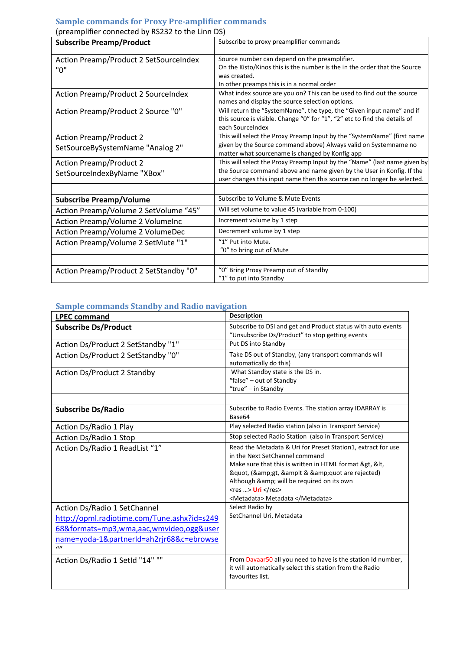#### <span id="page-4-0"></span>**Sample commands for Proxy Pre-amplifier commands**

| predimplifier confidence by itsease to the Ellin Day<br><b>Subscribe Preamp/Product</b> | Subscribe to proxy preamplifier commands                                   |
|-----------------------------------------------------------------------------------------|----------------------------------------------------------------------------|
|                                                                                         |                                                                            |
| Action Preamp/Product 2 SetSourceIndex                                                  | Source number can depend on the preamplifier.                              |
| "0"                                                                                     | On the Kisto/Kinos this is the number is the in the order that the Source  |
|                                                                                         | was created.                                                               |
|                                                                                         | In other preamps this is in a normal order                                 |
| <b>Action Preamp/Product 2 SourceIndex</b>                                              | What index source are you on? This can be used to find out the source      |
|                                                                                         | names and display the source selection options.                            |
| Action Preamp/Product 2 Source "0"                                                      | Will return the "SystemName", the type, the "Given input name" and if      |
|                                                                                         | this source is visible. Change "0" for "1", "2" etc to find the details of |
|                                                                                         | each SourceIndex                                                           |
| <b>Action Preamp/Product 2</b>                                                          | This will select the Proxy Preamp Input by the "SystemName" (first name    |
| SetSourceBySystemName "Analog 2"                                                        | given by the Source command above) Always valid on Systemname no           |
|                                                                                         | matter what sourcename is changed by Konfig app                            |
| <b>Action Preamp/Product 2</b>                                                          | This will select the Proxy Preamp Input by the "Name" (last name given by  |
| SetSourceIndexByName "XBox"                                                             | the Source command above and name given by the User in Konfig. If the      |
|                                                                                         | user changes this input name then this source can no longer be selected.   |
|                                                                                         |                                                                            |
| <b>Subscribe Preamp/Volume</b>                                                          | Subscribe to Volume & Mute Events                                          |
| Action Preamp/Volume 2 SetVolume "45"                                                   | Will set volume to value 45 (variable from 0-100)                          |
| Action Preamp/Volume 2 VolumeInc                                                        | Increment volume by 1 step                                                 |
| Action Preamp/Volume 2 VolumeDec                                                        | Decrement volume by 1 step                                                 |
| Action Preamp/Volume 2 SetMute "1"                                                      | "1" Put into Mute.                                                         |
|                                                                                         | "0" to bring out of Mute                                                   |
|                                                                                         |                                                                            |
| Action Preamp/Product 2 SetStandby "0"                                                  | "0" Bring Proxy Preamp out of Standby                                      |
|                                                                                         | "1" to put into Standby                                                    |

(preamplifier connected by RS232 to the Linn DS)

### <span id="page-4-1"></span>**Sample commands Standby and Radio navigation**

<span id="page-4-2"></span>

| <b>LPEC command</b>                         | <b>Description</b>                                           |
|---------------------------------------------|--------------------------------------------------------------|
| <b>Subscribe Ds/Product</b>                 | Subscribe to DSI and get and Product status with auto events |
|                                             | "Unsubscribe Ds/Product" to stop getting events              |
| Action Ds/Product 2 SetStandby "1"          | Put DS into Standby                                          |
| Action Ds/Product 2 SetStandby "0"          | Take DS out of Standby, (any transport commands will         |
|                                             | automatically do this)                                       |
| Action Ds/Product 2 Standby                 | What Standby state is the DS in.                             |
|                                             | "false" - out of Standby                                     |
|                                             | "true" - in Standby                                          |
|                                             |                                                              |
| <b>Subscribe Ds/Radio</b>                   | Subscribe to Radio Events. The station array IDARRAY is      |
|                                             | Base64                                                       |
| Action Ds/Radio 1 Play                      | Play selected Radio station (also in Transport Service)      |
| Action Ds/Radio 1 Stop                      | Stop selected Radio Station (also in Transport Service)      |
| Action Ds/Radio 1 ReadList "1"              | Read the Metadata & Uri for Preset Station1, extract for use |
|                                             | in the Next SetChannel command                               |
|                                             | Make sure that this is written in HTML format >, <,          |
|                                             | ", (>, &amplt & " are rejected)                              |
|                                             | Although & will be required on its own                       |
|                                             | $<$ res > Uri $<$ /res>                                      |
|                                             | <metadata> Metadata </metadata>                              |
| Action Ds/Radio 1 SetChannel                | Select Radio by                                              |
| http://opml.radiotime.com/Tune.ashx?id=s249 | SetChannel Uri, Metadata                                     |
| 68&formats=mp3,wma,aac,wmvideo,ogg&user     |                                                              |
| name=yoda-1&partnerId=ah2rjr68&c=ebrowse    |                                                              |
| $\omega$                                    |                                                              |
| Action Ds/Radio 1 SetId "14" ""             | From Davaar50 all you need to have is the station Id number, |
|                                             | it will automatically select this station from the Radio     |
|                                             | favourites list.                                             |
|                                             |                                                              |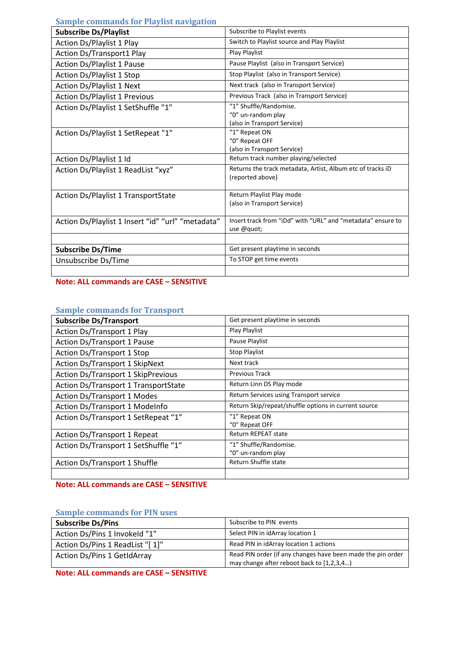<span id="page-5-0"></span>

| <b>Sample commands for Playlist navigation</b>    |                                                                                |
|---------------------------------------------------|--------------------------------------------------------------------------------|
| <b>Subscribe Ds/Playlist</b>                      | Subscribe to Playlist events                                                   |
| Action Ds/Playlist 1 Play                         | Switch to Playlist source and Play Playlist                                    |
| Action Ds/Transport1 Play                         | Play Playlist                                                                  |
| <b>Action Ds/Playlist 1 Pause</b>                 | Pause Playlist (also in Transport Service)                                     |
| Action Ds/Playlist 1 Stop                         | Stop Playlist (also in Transport Service)                                      |
| Action Ds/Playlist 1 Next                         | Next track (also in Transport Service)                                         |
| <b>Action Ds/Playlist 1 Previous</b>              | Previous Track (also in Transport Service)                                     |
| Action Ds/Playlist 1 SetShuffle "1"               | "1" Shuffle/Randomise.<br>"0" un-random play<br>(also in Transport Service)    |
| Action Ds/Playlist 1 SetRepeat "1"                | "1" Repeat ON<br>"0" Repeat OFF<br>(also in Transport Service)                 |
| Action Ds/Playlist 1 Id                           | Return track number playing/selected                                           |
| Action Ds/Playlist 1 ReadList "xyz"               | Returns the track metadata, Artist, Album etc of tracks iD<br>(reported above) |
| Action Ds/Playlist 1 TransportState               | Return Playlist Play mode<br>(also in Transport Service)                       |
| Action Ds/Playlist 1 Insert "id" "url" "metadata" | Insert track from "iDd" with "URL" and "metadata" ensure to<br>use @quot;      |
|                                                   |                                                                                |
| <b>Subscribe Ds/Time</b>                          | Get present playtime in seconds                                                |
| Unsubscribe Ds/Time                               | To STOP get time events                                                        |
|                                                   |                                                                                |

## **Note: ALL commands are CASE – SENSITIVE**

### <span id="page-5-1"></span>**Sample commands for Transport**

| <b>Subscribe Ds/Transport</b>             | Get present playtime in seconds                      |
|-------------------------------------------|------------------------------------------------------|
| <b>Action Ds/Transport 1 Play</b>         | Play Playlist                                        |
| Action Ds/Transport 1 Pause               | Pause Playlist                                       |
| Action Ds/Transport 1 Stop                | <b>Stop Playlist</b>                                 |
| Action Ds/Transport 1 SkipNext            | Next track                                           |
| <b>Action Ds/Transport 1 SkipPrevious</b> | <b>Previous Track</b>                                |
| Action Ds/Transport 1 TransportState      | Return Linn DS Play mode                             |
| <b>Action Ds/Transport 1 Modes</b>        | Return Services using Transport service              |
| Action Ds/Transport 1 Modelnfo            | Return Skip/repeat/shuffle options in current source |
| Action Ds/Transport 1 SetRepeat "1"       | "1" Repeat ON                                        |
|                                           | "0" Repeat OFF                                       |
| Action Ds/Transport 1 Repeat              | <b>Return REPEAT state</b>                           |
| Action Ds/Transport 1 SetShuffle "1"      | "1" Shuffle/Randomise.                               |
|                                           | "0" un-random play                                   |
| Action Ds/Transport 1 Shuffle             | Return Shuffle state                                 |
|                                           |                                                      |

**Note: ALL commands are CASE – SENSITIVE**

#### <span id="page-5-2"></span>**Sample commands for PIN uses**

| <b>Subscribe Ds/Pins</b>           | Subscribe to PIN events                                                                                  |
|------------------------------------|----------------------------------------------------------------------------------------------------------|
| Action Ds/Pins 1 Invokeld "1"      | Select PIN in idArray location 1                                                                         |
| Action Ds/Pins 1 ReadList "[1]"    | Read PIN in idArray location 1 actions                                                                   |
| <b>Action Ds/Pins 1 GetIdArray</b> | Read PIN order (if any changes have been made the pin order<br>may change after reboot back to [1,2,3,4] |

**Note: ALL commands are CASE – SENSITIVE**